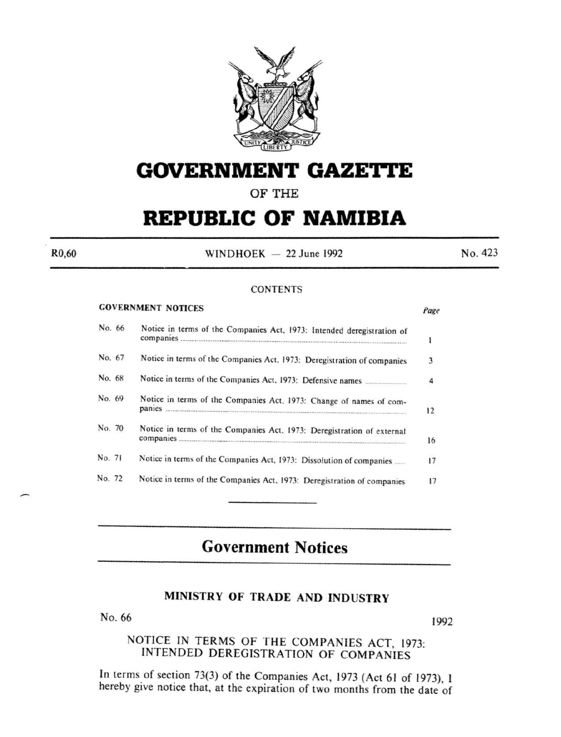

# **GOVERNMENT GAZE'rtE**

**OF THE** 

# **REPUBLIC OF NAMIBIA**

R0,60

 $WINDHOEK - 22 June 1992$ 

No. 423

#### **CONTENTS**

|        |        | <b>GOVERNMENT NOTICES</b>                                               | Page |
|--------|--------|-------------------------------------------------------------------------|------|
|        | No. 66 | Notice in terms of the Companies Act, 1973: Intended deregistration of  |      |
| No. 67 |        | Notice in terms of the Companies Act, 1973: Deregistration of companies | 3    |
| No. 68 |        |                                                                         | 4    |
| No. 69 |        | Notice in terms of the Companies Act, 1973: Change of names of com-     | 12   |
| No. 70 |        | Notice in terms of the Companies Act, 1973: Deregistration of external  | 16   |
| No. 71 |        | Notice in terms of the Companies Act, 1973: Dissolution of companies    | 17   |
| No. 72 |        | Notice in terms of the Companies Act, 1973: Deregistration of companies |      |

# **Government Notices**

### **MINISTRY OF TRADE AND INDUSTRY**

No. 66 1992

## NOTICE IN TERMS OF THE COMPANIES ACT, 1973: INTENDED DEREGISTRATION OF COMPANIES

In terms of section 73(3) of the Companies Act, 1973 (Act 61 of 1973), I hereby give notice that, at the expiration of two months from the date of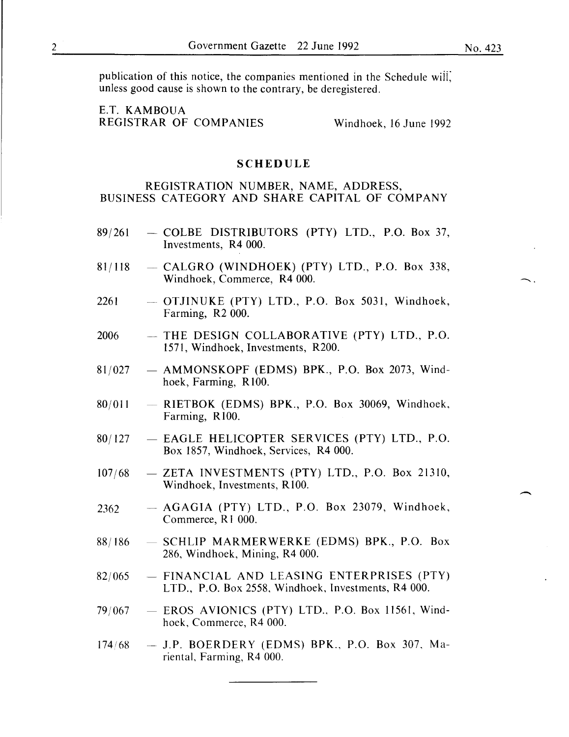$\frown$ .

 $\overline{\phantom{a}}$ 

publication of this notice, the companies mentioned in the Schedule wiii; unless good cause is shown to the contrary, be deregistered.

E.T. KAMBOUA REGISTRAR OF COMPANIES Windhoek, 16 June 1992

#### SCHEDULE

#### REGISTRATION NUMBER, NAME, ADDRESS, BUSINESS CATEGORY AND SHARE CAPITAL OF COMPANY

- $89/261$  COLBE DISTRIBUTORS (PTY) LTD., P.O. Box 37, Investments, R4 000.
- $81/118$  CALGRO (WINDHOEK) (PTY) LTD., P.O. Box 338, Windhoek, Commerce, R4 000.
- $2261 -$  OTJINUKE (PTY) LTD., P.O. Box 5031, Windhoek, Farming, R2 000.
- $2006$  THE DESIGN COLLABORATIVE (PTY) LTD., P.O. 1571, Windhoek, Investments, R200.
- $81/027$  AMMONSKOPF (EDMS) BPK., P.O. Box 2073, Windhoek, Farming, R 100.
- $80/011$  RIETBOK (EDMS) BPK., P.O. Box 30069, Windhoek, Farming, R100.
- 80/127 EAGLE HELICOPTER SERVICES (PTY) LTD., P.O. Box 1857, Windhoek, Services, R4 000.
- $107/68$  ZETA INVESTMENTS (PTY) LTD., P.O. Box 21310, Windhoek, Investments, RIOO.
- $2362$  AGAGIA (PTY) LTD., P.O. Box 23079, Windhoek, Commerce, R l 000.
- $88/186$  SCHLIP MARMERWERKE (EDMS) BPK., P.O. Box 286, Windhoek, Mining, R4 000.
- $82/065$  FINANCIAL AND LEASING ENTERPRISES (PTY) LTD., P.O. Box 2558, Windhoek, Investments, R4 000.
- $79/067$  EROS AVIONICS (PTY) LTD., P.O. Box 11561, Windhoek, Commerce, R4 000.
- $174/68$  J.P. BOERDERY (EDMS) BPK., P.O. Box 307, Mariental, Farming, R4 000.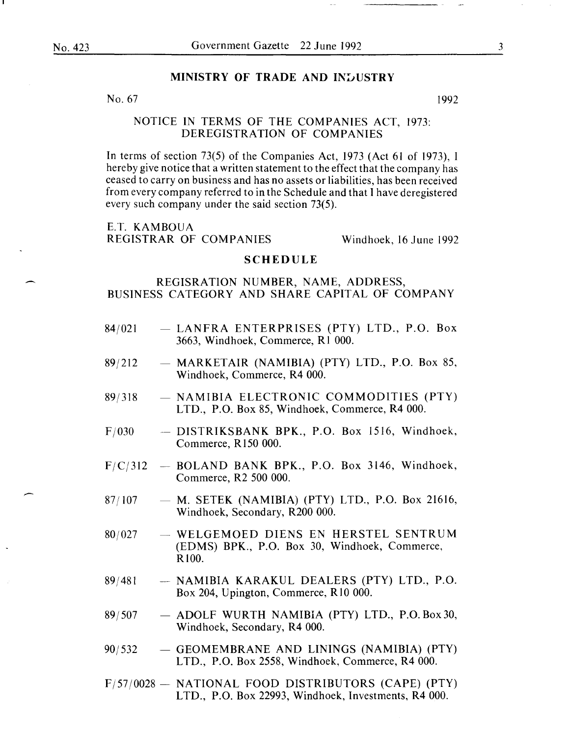-

#### MINISTRY OF TRADE AND INDUSTRY

No. 67  $1992$ 

#### NOTICE IN TERMS OF THE COMPANIES ACT, I973: DEREGISTRATION OF COMPANIES

In terms of section  $73(5)$  of the Companies Act, 1973 (Act 61 of 1973), I hereby give notice that a written statement to the effect that the company has ceased to carry on business and has no assets or liabilities, has been received from every company referred to in the Schedule and that I have deregistered every such company under the said section 73(5).

E.T. KAMBOUA REGISTRAR OF COMPANIES Windhoek, 16 June 1992

#### SCHEDULE

#### REGISRATION NUMBER, NAME, ADDRESS, BUSINESS CATEGORY AND SHARE CAPITAL OF COMPANY

- 84/021 - LANFRA ENTERPRISES (PTY) LTD., P.O. Box 3663, Windhoek, Commerce, RI 000.
- 89j2I2 - MARKETAIR (NAMIBIA) (PTY) LTD., P.O. Box 85, Windhoek, Commerce, R4 000.
- 89j3I8 - NAMIBIA ELECTRONIC COMMODITIES (PTY) LTD., P.O. Box 85, Windhoek, Commerce, R4 000.
- $F/030$ - DISTRIKSBANK BPK., P.O. Box 1516, Windhoek, Commerce, R150 000.
- F/C/312 - BOLAND BANK BPK., P.O. Box 3146, Windhoek, Commerce, R2 500 000.
- 87/107  $-$  M. SETEK (NAMIBIA) (PTY) LTD., P.O. Box 21616, Windhoek, Secondary, R200 000.
- 80/027 - WELGEMOED DIENS EN HERSTEL SENTRUM (EDMS) BPK., P.O. Box 30, Windhoek, Commerce, RIOO.
- 89j48I - NAMIBIA KARAKUL DEALERS (PTY) LTD., P.O. Box 204, Upington, Commerce, RIO 000.
- 89/507 - ADOLF WURTH NAMIBIA (PTY) LTD., P.O. Box 30, Windhoek, Secondary, R4 000.
- 90/532  $-$  GEOMEMBRANE AND LININGS (NAMIBIA) (PTY) LTD., P.O. Box 2558, Windhoek, Commerce, R4 000.
- F/57/0028 NATIONAL FOOD DISTRIBUTORS (CAPE) (PTY) LTD., P.O. Box 22993, Windhoek, Investments, R4 000.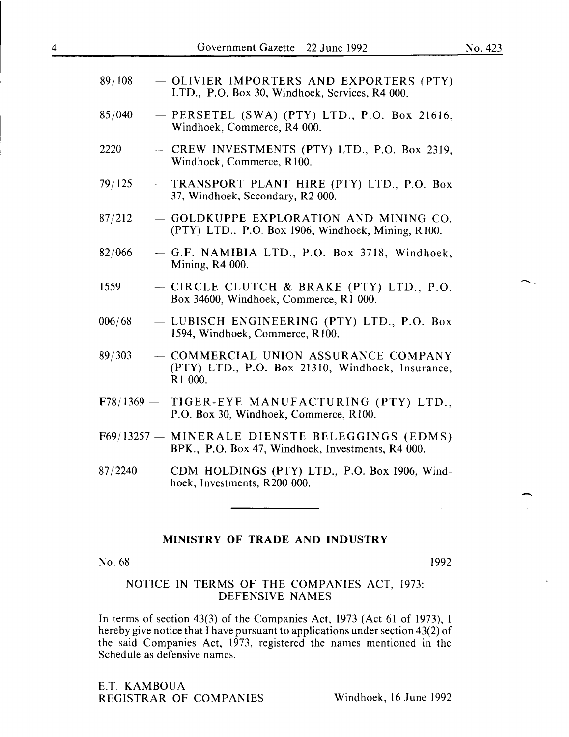-.

-

| 89/108  | - OLIVIER IMPORTERS AND EXPORTERS (PTY)<br>LTD., P.O. Box 30, Windhoek, Services, R4 000.           |
|---------|-----------------------------------------------------------------------------------------------------|
| 85/040  | $-$ PERSETEL (SWA) (PTY) LTD., P.O. Box 21616,<br>Windhoek, Commerce, R4 000.                       |
| 2220    | - CREW INVESTMENTS (PTY) LTD., P.O. Box 2319,<br>Windhoek, Commerce, R100.                          |
| 79/125  | - TRANSPORT PLANT HIRE (PTY) LTD., P.O. Box<br>37, Windhoek, Secondary, R2 000.                     |
| 87/212  | - GOLDKUPPE EXPLORATION AND MINING CO.<br>(PTY) LTD., P.O. Box 1906, Windhoek, Mining, R100.        |
| 82/066  | - G.F. NAMIBIA LTD., P.O. Box 3718, Windhoek,<br>Mining, R4 000.                                    |
| 1559    | - CIRCLE CLUTCH & BRAKE (PTY) LTD., P.O.<br>Box 34600, Windhoek, Commerce, R1 000.                  |
| 006/68  | - LUBISCH ENGINEERING (PTY) LTD., P.O. Box<br>1594, Windhoek, Commerce, R100.                       |
| 89/303  | - COMMERCIAL UNION ASSURANCE COMPANY<br>(PTY) LTD., P.O. Box 21310, Windhoek, Insurance,<br>R1 000. |
|         | F78/1369 - TIGER-EYE MANUFACTURING (PTY) LTD.,<br>P.O. Box 30, Windhoek, Commerce, R100.            |
|         | F69/13257 - MINERALE DIENSTE BELEGGINGS (EDMS)<br>BPK., P.O. Box 47, Windhoek, Investments, R4 000. |
| 87/2240 | - CDM HOLDINGS (PTY) LTD., P.O. Box 1906, Wind-<br>hoek, Investments, R200 000.                     |

#### MINISTRY OF TRADE AND INDUSTRY

No. 68 1992

#### NOTICE IN TERMS OF THE COMPANIES ACT, 1973: DEFENSIVE NAMES

In terms of section 43(3) of the Companies Act, 1973 (Act 61 of 1973), I hereby give notice that I have pursuant to applications under section 43(2) of the said Companies Act, 1973, registered the names mentioned in the Schedule as defensive names.

E.T. KAMBOUA REGISTRAR OF COMPANIES Windhoek, 16 June 1992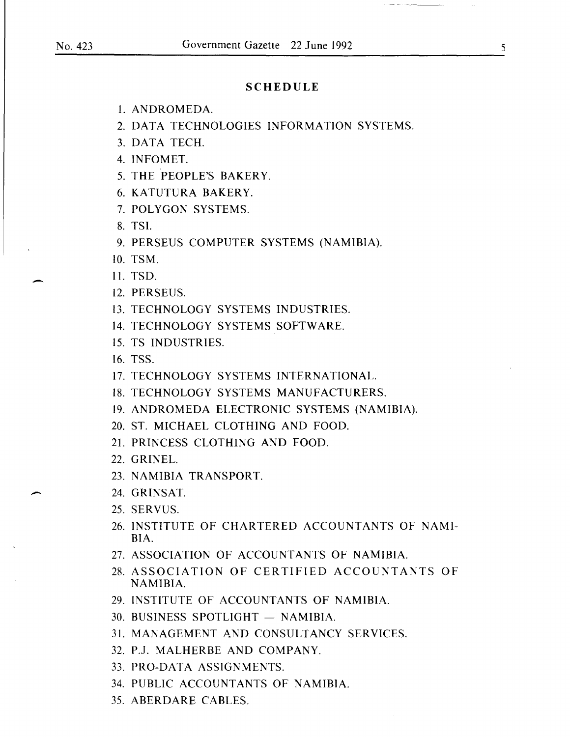$\overline{\phantom{0}}$ 

-

#### **SCHEDULE**

- 1. ANDROMEDA.
- 2. DATA TECHNOLOGIES INFORMATION SYSTEMS.
- 3. DATA TECH.
- 4. INFOMET.
- 5. THE PEOPLE'S BAKERY.
- 6. KATUTURA BAKERY.
- 7. POLYGON SYSTEMS.
- 8. TSI.
- 9. PERSEUS COMPUTER SYSTEMS (NAMIBIA).
- 10. TSM.
- 11. TSD.
- 12. PERSEUS.
- 13. TECHNOLOGY SYSTEMS INDUSTRIES.
- 14. TECHNOLOGY SYSTEMS SOFTWARE.
- 15. TS INDUSTRIES.
- 16. TSS.
- 17. TECHNOLOGY SYSTEMS INTERNATIONAL.
- 18. TECHNOLOGY SYSTEMS MANUFACTURERS.
- 19. ANDROMEDA ELECTRONIC SYSTEMS (NAMIBIA).
- 20. ST. MICHAEL CLOTHING AND FOOD.
- 21. PRINCESS CLOTHING AND FOOD.
- 22. GRINEL.
- 23. NAMIBIA TRANSPORT.
- 24. GRINSAT.
- 25. SERVUS.
- 26. INSTITUTE OF CHARTERED ACCOUNTANTS OF NAMI-BIA.
- 27. ASSOCIATION OF ACCOUNTANTS OF NAMIBIA.
- 28. ASSOCIATION OF CERTIFIED ACCOUNTANTS OF NAMIBIA.
- 29. INSTITUTE OF ACCOUNTANTS OF NAMIBIA.
- $30.$  BUSINESS SPOTLIGHT  $-$  NAMIBIA.
- 31. MANAGEMENT AND CONSULTANCY SERVICES.
- 32. P.J. MALHERBE AND COMPANY.
- 33. PRO-DATA ASSIGNMENTS.
- 34. PUBLIC ACCOUNTANTS OF NAMIBIA.
- 35. ABERDARE CABLES.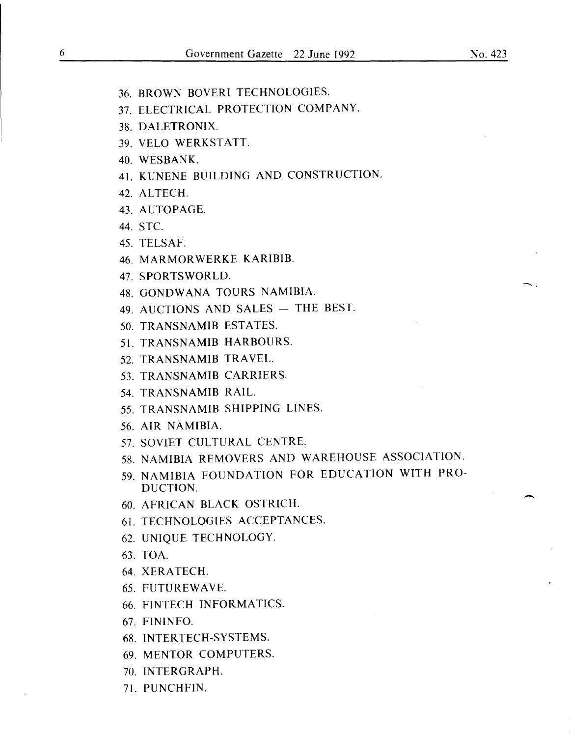- 36. BROWN BOVERI TECHNOLOGIES. 37. ELECTRICAL PROTECTION COMPANY. 38. DALETRONIX. 39. VELO WERKSTATT. 40. WESBANK. 41. KUNENE BUILDING AND CONSTRUCTION. 42. ALTECH. 43. AUTOPAGE. 44. STC. 45. TELSAF. 46. MARMOR WERKE KARIBIB. 47. SPORTSWORLD.<br>48. GONDWANA TOURS NAMIBIA. 49. AUCTIONS AND SALES  $-$  THE BEST. 50. TRANSNAMIB ESTATES. 51. TRANSNAMIB HARBOURS. 52. TRANSNAMIB TRAVEL. 53. TRANSNAMIB CARRIERS. 54. TRANSNAMIB RAIL. 55. TRANSNAMIB SHIPPING LINES. 56. AIR NAMIBIA. 57. SOVIET CULTURAL CENTRE. 58. NAMIBIA REMOVERS AND WAREHOUSE ASSOCIATION. 59. NAMIBIA FOUNDATION FOR EDUCATION WITH PRO-DUCTION. 60. AFRICAN BLACK OSTRICH. 61. TECHNOLOGIES ACCEPTANCES. 62. UNIQUE TECHNOLOGY. 63. TOA. 64. XERA TECH. 65. FUTUREWAVE. 66. FINTECH INFORMATICS. 67. FININFO. 68. INTERTECH-SYSTEMS. 69. MENTOR COMPUTERS. 70. INTERGRAPH.
- 71. PUNCHFIN.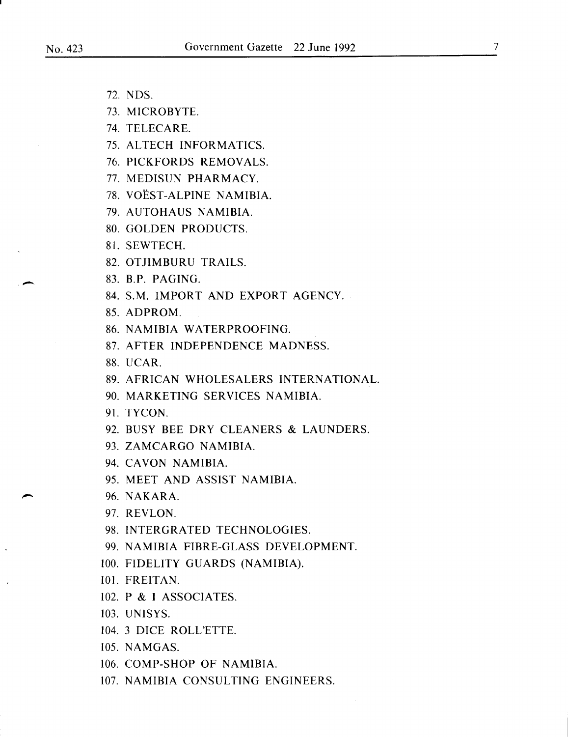·-

- 72. NDS.
- 73. MICROBYTE.
- 74. TELECARE.
- 75. ALTECH INFORMATICS.
- 76. PICKFORDS REMOVALS.
- 77. MEDISUN PHARMACY.
- 78. VOEST-ALPINE NAMIBIA.
- 79. AUTOHAUS NAMIBIA.
- 80. GOLDEN PRODUCTS.
- 81. SEWTECH.
- 82. OTJIMBURU TRAILS.
- 83. B.P. PAGING.
- 84. S.M. IMPORT AND EXPORT AGENCY.
- 85. ADPROM.
- 86. NAMIBIA WATERPROOFING.
- 87. AFTER INDEPENDENCE MADNESS.
- 88. UCAR.
- 89. AFRICAN WHOLESALERS INTERNATIONAL.
- 90. MARKETING SERVICES NAMIBIA.
- 91. TYCON.
- 92. BUSY BEE DRY CLEANERS & LAUNDERS.
- 93. ZAMCARGO NAMIBIA.
- 94. CAVON NAMIBIA.
- 95. MEET AND ASSIST NAMIBIA.
- 96. NAKARA.
- 97. REVLON.
- 98. INTERGRATED TECHNOLOGIES.
- 99. NAMIBIA FIBRE-GLASS DEVELOPMENT.
- 100. FIDELITY GUARDS (NAMIBIA).
- 101. FREITAN.
- 102. P & I ASSOCIATES.
- 103. UNISYS.
- 104. 3 DICE ROLL'ETTE.
- 105. NAMGAS.
- 106. COMP-SHOP OF NAMIBIA.
- 107. NAMIBIA CONSULTING ENGINEERS.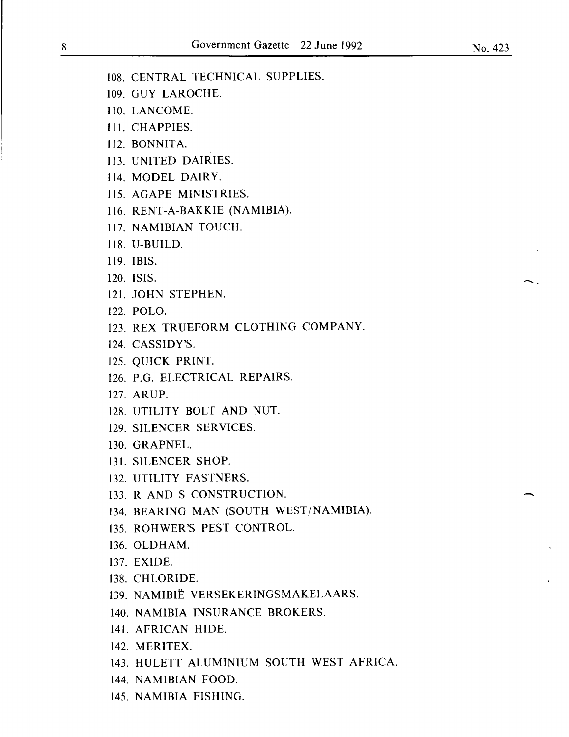108. CENTRAL TECHNICAL SUPPLIES.

- 109. GUY LAROCHE.
- 110. LANCOME.
- Ill. CRAPPIES.
- 112. BONNITA.
- 113. UNITED DAIRIES.
- 114. MODEL DAIRY.
- 115. AGAPE MINISTRIES.
- 116. RENT-A-BAKKIE (NAMIBIA).
- 117. NAMIBIAN TOUCH.
- 118. U-BUILD.
- 119. IBIS.
- 120. ISIS.
- 121. JOHN STEPHEN.
- 122. POLO.
- 123. REX TRUEFORM CLOTHING COMPANY.
- 124. CASSIDY'S.
- 125. QUICK PRINT.
- 126. P.G. ELECTRICAL REPAIRS.
- 127. ARUP.
- 128. UTILITY BOLT AND NUT.
- 129. SILENCER SERVICES.
- 130. GRAPNEL.
- 131. SILENCER SHOP.
- 132. UTILITY FASTNERS.
- 133. R AND S CONSTRUCTION.
- 134. BEARING MAN (SOUTH WEST/NAMIBIA).
- 135. ROHWER'S PEST CONTROL.
- 136. OLDHAM.
- 137. EXIDE.
- 138. CHLORIDE.
- 139. NAMIBIE VERSEKERINGSMAKELAARS.
- 140. NAMIBIA INSURANCE BROKERS.
- 141. AFRICAN HIDE.
- 142. MERITEX.
- 143. HULETT ALUMINIUM SOUTH WEST AFRICA.
- 144. NAMIBIAN FOOD.
- 145. NAMIBIA FISHING.

 $\bigcap_{i=1}^n$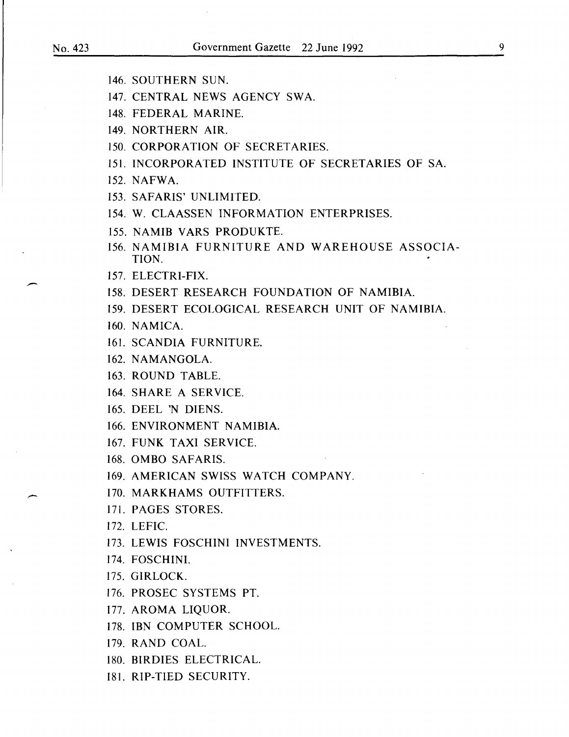- 146. SOUTHERN SUN.
- 147. CENTRAL NEWS AGENCY SWA.
- 148. FEDERAL MARINE.
- 149. NORTHERN AIR.
- 150. CORPORATION OF SECRETARIES.
- 151. INCORPORATED INSTITUTE OF SECRETARIES OF SA.
- 152. NAFWA.
- 153. SAFARIS' UNLIMITED.
- 154. W. CLAASSEN INFORMATION ENTERPRISES.
- 155. NAMIB VARS PRODUKTE.
- 156. NAMIBIA FURNITURE AND WAREHOUSE ASSOCIA-TION.
- 157. ELECTRI-FIX.
- 158. DESERT RESEARCH FOUNDATION OF NAMIBIA.
- 159. DESERT ECOLOGICAL RESEARCH UNIT OF NAMIBIA.
- 160. NAMICA.
- 161. SCANDIA FURNITURE.
- 162. NAMANGOLA.
- 163. ROUND TABLE.
- 164. SHARE A SERVICE.
- 165. DEEL 'N DIENS.
- 166. ENVIRONMENT NAMIBIA.
- 167. FUNK TAXI SERVICE.
- 168. OMBO SAFARIS.
- 169. AMERICAN SWISS WATCH COMPANY.

170. MARKHAMS OUTFITTERS.

- 171. PAGES STORES.
- 172. LEFIC.
- 173. LEWIS FOSCHINI INVESTMENTS.
- 174. FOSCHINI.
- 175. GIRLOCK.
- 176. PROSEC SYSTEMS PT.
- 177. AROMA LIQUOR.
- 178. IBN COMPUTER SCHOOL.
- 179. RAND COAL.
- 180. BIRDIES ELECTRICAL.
- 181. RIP-TIED SECURITY.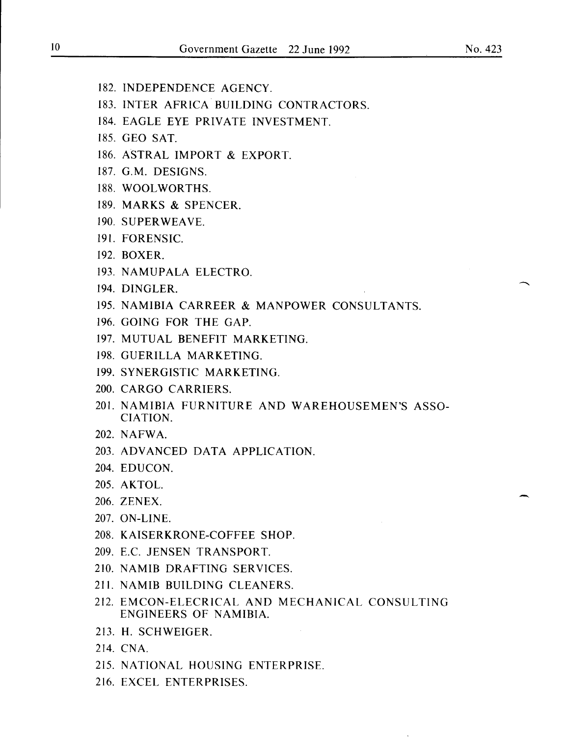- 182. INDEPENDENCE AGENCY.
- 183. INTER AFRICA BUILDING CONTRACTORS.
- 184. EAGLE EYE PRIVATE INVESTMENT.
- 185. GEO SAT.
- 186. ASTRAL IMPORT & EXPORT.
- 187. G.M. DESIGNS.
- 188. WOOLWORTHS.
- 189. MARKS & SPENCER.
- 190. SUPERWEAVE.
- 191. FORENSIC.
- 192. BOXER.
- 193. NAMUPALA ELECTRO.
- 194. DINGLER.
- 195. NAMIBIA CARREER & MANPOWER CONSULTANTS.
- 196. GOING FOR THE GAP.
- 197. MUTUAL BENEFIT MARKETING.
- 198. GUERILLA MARKETING.
- 199. SYNERGISTIC MARKETING.
- 200. CARGO CARRIERS.
- 201. NAMIBIA FURNITURE AND WAREHOUSEMEN'S ASSO-CIATION.
- 202. NAFWA.
- 203. ADVANCED DATA APPLICATION.
- 204. EDUCON.
- 205. AKTOL. 205. AKTOL.<br>206. ZENEX.
- 
- 207. ON-LINE.
- 208. KAISERKRONE-COFFEE SHOP.
- 209. E.C. JENSEN TRANSPORT.
- 210. NAMIB DRAFTING SERVICES.
- 211. NAMIB BUILDING CLEANERS.
- 212. EMCON-ELECRICAL AND MECHANICAL CONSULTING ENGINEERS OF NAMIBIA.
- 213. H. SCHWEIGER.
- 214. CNA.
- 215. NATIONAL HOUSING ENTERPRISE.
- 216. EXCEL ENTERPRISES.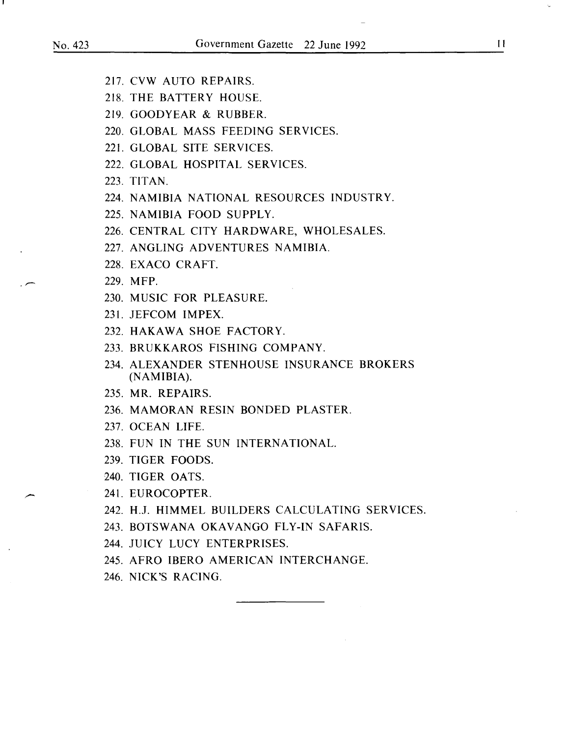- 217. CVW AUTO REPAIRS.
- 218. THE BATTERY HOUSE.
- 219. GOODYEAR & RUBBER.
- 220. GLOBAL MASS FEEDING SERVICES.
- 221. GLOBAL SITE SERVICES.
- 222. GLOBAL HOSPITAL SERVICES.
- 223. TITAN.
- 224. NAMIBIA NATIONAL RESOURCES INDUSTRY.
- 225. NAMIBIA FOOD SUPPLY.
- 226. CENTRAL CITY HARDWARE, WHOLESALES.
- 227. ANGLING ADVENTURES NAMIBIA.
- 228. EXACO CRAFT.
- 229. MFP.
- 230. MUSIC FOR PLEASURE.
- 231. JEFCOM IMPEX.
- 232. HAKAWA SHOE FACTORY.
- 233. BRUKKAROS FISHING COMPANY.
- 234. ALEXANDER STENHOUSE INSURANCE BROKERS (NAMIBIA).
- 235. MR. REPAIRS.
- 236. MAMORAN RESIN BONDED PLASTER.
- 237. OCEAN LIFE.
- 238. FUN IN THE SUN INTERNATIONAL.
- 239. TIGER FOODS.
- 240. TIGER OATS.
- 241. EUROCOPTER.
- 242. H.J. HIMMEL BUILDERS CALCULATING SERVICES.
- 243. BOTSWANA OKAVANGO FLY-IN SAFARIS.
- 244. JUICY LUCY ENTERPRISES.
- 245. AFRO IBERO AMERICAN INTERCHANGE.
- 246. NICK'S RACING.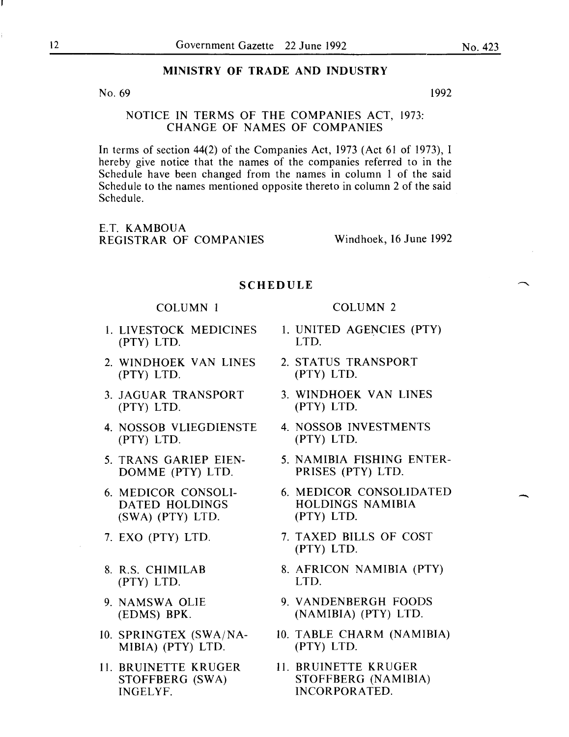#### MINISTRY OF TRADE AND INDUSTRY

No.  $69$  1992

NOTICE IN TERMS OF THE COMPANIES ACT, 1973: CHANGE OF NAMES OF COMPANIES

In terms of section 44(2) of the Companies Act, 1973 (Act 61 of 1973), I hereby give notice that the names of the companies referred to in the Schedule have been changed from the names in column 1 of the said Schedule to the names mentioned opposite thereto in column 2 of the said Schedule.

E.T. KAMBOUA REGISTRAR OF COMPANIES Windhoek, 16 June 1992

#### **SCHEDULE**

#### COLUMN I COLUMN 2

- 1. LIVESTOCK MEDICINES 1. UNITED AGENCIES (PTY)<br>(PTY) LTD. LTD. LTD. (PTY) LTD. LTD.
- 2. WINDHOEK VAN LINES 2. STATUS TRANSPORT (PTY) LTD. (PTY) LTD. (PTY) LTD.
- 3. JAGUAR TRANSPORT 3. WINDHOEK VAN LINES (PTY) LTD. (PTY) LTD.
- 4. NOSSOB VLIEGDIENSTE 4. NOSSOB INVESTMENTS<br>(PTY) LTD. (PTY) LTD. (PTY) LTD. (PTY) LTD.
- DOMME (PTY) LTD. PRISES (PTY) LTD.
- (SWA) (PTY) LTD. (PTY) LTD.
- 
- (PTY) LTD. LTD.
- 
- MIBIA) (PTY) LTD. (PTY) LTD.
- INGELYF. INCORPORATED.

- 
- 
- 
- 
- 5. TRANS GARIEP EIEN- 5. NAMIBIA FISHING ENTER-
- 6. MEDICOR CONSOLI- 6. MEDICOR CONSOLIDATED HOLDINGS NAMIBIA
- 7. EXO (PTY) LTD. 7. TAXED BILLS OF COST (PTY) LTD.
- 8. R.S. CHIMILAB 8. AFRICON NAMIBIA (PTY)
- 9. NAMSWA OLIE 9. VANDENBERGH FOODS (EDMS) BPK. (NAMIBIA) (PTY) LTD.
- 10. SPRINGTEX (SWA/NA- 10. TABLE CHARM (NAMIBIA)<br>MIBIA) (PTY) LTD. (PTY) LTD.
- 11. BRUINETTE KRUGER 11. BRUINETTE KRUGER STOFFBERG (SWA) STOFFBERG (NAMIBIA)

-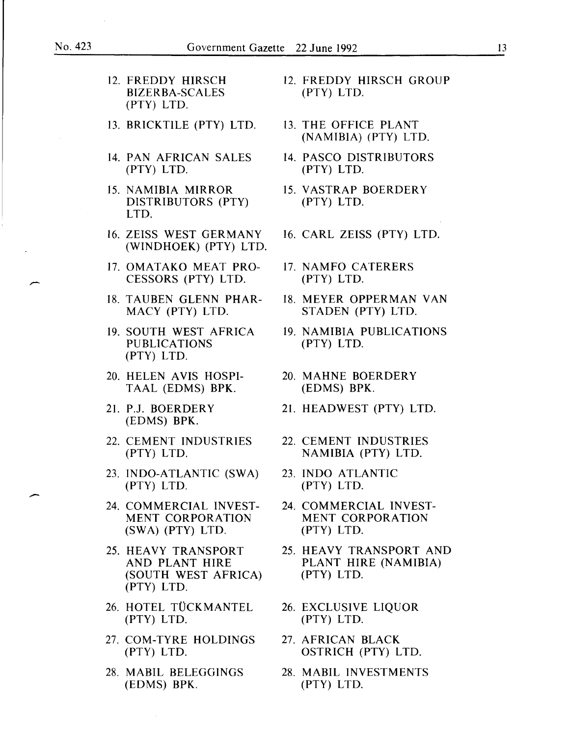$\sim$ 

-

| 12. FREDDY HIRSCH<br><b>BIZERBA-SCALES</b><br>(PTY) LTD.                   | 12. FREDDY HIRSCH GROUP<br>(PTY) LTD.                           |  |
|----------------------------------------------------------------------------|-----------------------------------------------------------------|--|
| 13. BRICKTILE (PTY) LTD.                                                   | 13. THE OFFICE PLANT<br>(NAMIBIA) (PTY) LTD.                    |  |
| 14. PAN AFRICAN SALES<br>(PTY) LTD.                                        | 14. PASCO DISTRIBUTORS<br>(PTY) LTD.                            |  |
| 15. NAMIBIA MIRROR<br>DISTRIBUTORS (PTY)<br>LTD.                           | 15. VASTRAP BOERDERY<br>(PTY) LTD.                              |  |
| 16. ZEISS WEST GERMANY<br>(WINDHOEK) (PTY) LTD.                            | 16. CARL ZEISS (PTY) LTD.                                       |  |
| 17. OMATAKO MEAT PRO-<br>CESSORS (PTY) LTD.                                | 17. NAMFO CATERERS<br>(PTY) LTD.                                |  |
| 18. TAUBEN GLENN PHAR-<br>MACY (PTY) LTD.                                  | 18. MEYER OPPERMAN VAN<br>STADEN (PTY) LTD.                     |  |
| 19. SOUTH WEST AFRICA<br><b>PUBLICATIONS</b><br>(PTY) LTD.                 | 19. NAMIBIA PUBLICATIONS<br>(PTY) LTD.                          |  |
| 20. HELEN AVIS HOSPI-<br>TAAL (EDMS) BPK.                                  | 20. MAHNE BOERDERY<br>(EDMS) BPK.                               |  |
| 21. P.J. BOERDERY<br>(EDMS) BPK.                                           | 21. HEADWEST (PTY) LTD.                                         |  |
| 22. CEMENT INDUSTRIES<br>(PTY) LTD.                                        | 22. CEMENT INDUSTRIES<br>NAMIBIA (PTY) LTD.                     |  |
| 23. INDO-ATLANTIC (SWA)<br>(PTY) LTD.                                      | 23. INDO ATLANTIC<br>$(PTY)$ LTD.                               |  |
| 24. COMMERCIAL INVEST-<br><b>MENT CORPORATION</b><br>(SWA) (PTY) LTD.      | 24. COMMERCIAL INVEST-<br><b>MENT CORPORATION</b><br>(PTY) LTD. |  |
| 25. HEAVY TRANSPORT<br>AND PLANT HIRE<br>(SOUTH WEST AFRICA)<br>(PTY) LTD. | 25. HEAVY TRANSPORT AND<br>PLANT HIRE (NAMIBIA)<br>(PTY) LTD.   |  |
| 26. HOTEL TÜCKMANTEL<br>(PTY) LTD.                                         | 26. EXCLUSIVE LIQUOR<br>(PTY) LTD.                              |  |
| 27. COM-TYRE HOLDINGS<br>(PTY) LTD.                                        | 27. AFRICAN BLACK<br>OSTRICH (PTY) LTD.                         |  |
| 28. MABIL BELEGGINGS<br>(EDMS) BPK.                                        | 28. MABIL INVESTMENTS<br>(PTY) LTD.                             |  |

13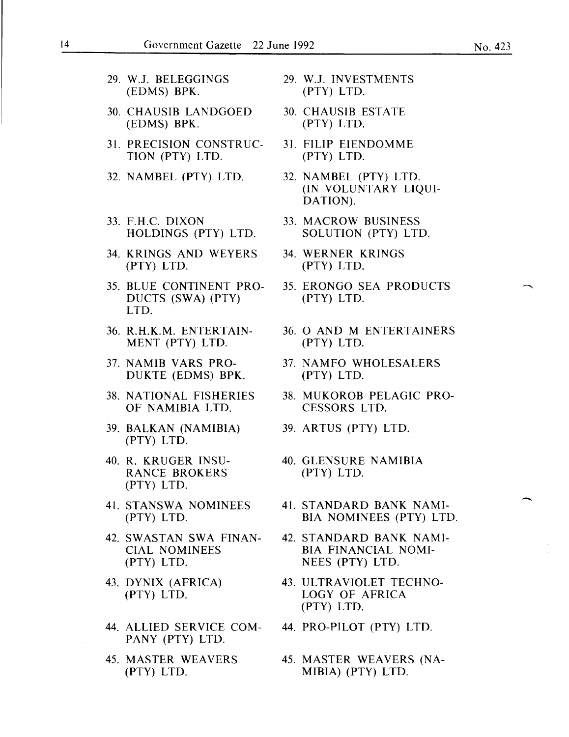- 29. W.J. BELEGGINGS 29. W.J. INVESTMENTS<br>(EDMS) BPK. (PTY) LTD.  $(EDMS)$  BPK. 30. CHAUSIB LANDGOED 30. CHAUSIB ESTATE (EDMS) BPK. (PTY) LTD. 31. PRECISION CONSTRUC- 31. FILIP EIENDOMME<br>TION (PTY) LTD. (PTY) LTD. TION (PTY) LTD. (PTY) LTD. 32. NAMBEL (PTY) LTD. 32. NAMBEL (PTY) LTD. 33. F.H.C. DIXON 33. MACROW BUSINESS<br>HOLDINGS (PTY) LTD. SOLUTION (PTY) LTI 34. KRINGS AND WEYERS 34. WERNER KRINGS (PTY) LTD. (PTY) LTD.
- DUCTS (SWA) (PTY) LTD.
- MENT (PTY) LTD. (PTY) LTD.
- DUKTE (EDMS) BPK.
- OF NAMIBIA LTD. CESSORS LTD.
- 39. BALKAN (NAMIBIA) 39. ARTUS (PTY) LTD. (PTY) LTD.
- RANCE BROKERS (PTY) LTD. (PTY) LTD.
- 
- (PTY) LTD. NEES (PTY) LTD.
- 
- 44. ALLIED SERVICE COM- 44. PRO-PILOT (PTY) LTD. PANY (PTY) LTD.
- 
- 
- 
- 
- (IN VOLUNTARY LIQUI-DATION).
- SOLUTION (PTY) LTD.
- 
- 35. BLUE CONTINENT PRO- 35. ERONGO SEA PRODUCTS<br>DUCTS (SWA) (PTY) (PTY) LTD.
- 36. R.H.K.M. ENTERTAIN- 36. 0 AND M ENTERTAINERS
- 37. NAMIB VARS PRO-<br>DUKTE (EDMS) BPK. (PTY) LTD.
- 38. NATIONAL FISHERIES 38. MUKOROB PELAGIC PRO-
	-
- 40. R. KRUGER INSU- 40. GLENSURE NAMIBIA
- 41. STANSWA NOMINEES 41. STANDARD BANK NAMI- (PTY) LTD. BIA NOMINEES (PTY) LTD.
- 42. SWASTAN SWA FINAN- 42. STANDARD BANK NAMI-<br>CIAL NOMINEES BIA FINANCIAL NOMI-BIA FINANCIAL NOMI-
- 43. DYNIX (AFRICA) 43. ULTRAVIOLET TECHNO- (PTY) LTD. LOGY OF AFRICA (PTY) LTD.
	-
- 45. MASTER WEAVERS 45. MASTER WEAVERS (NA-(PTY) LTD. MIBIA) (PTY) LTD.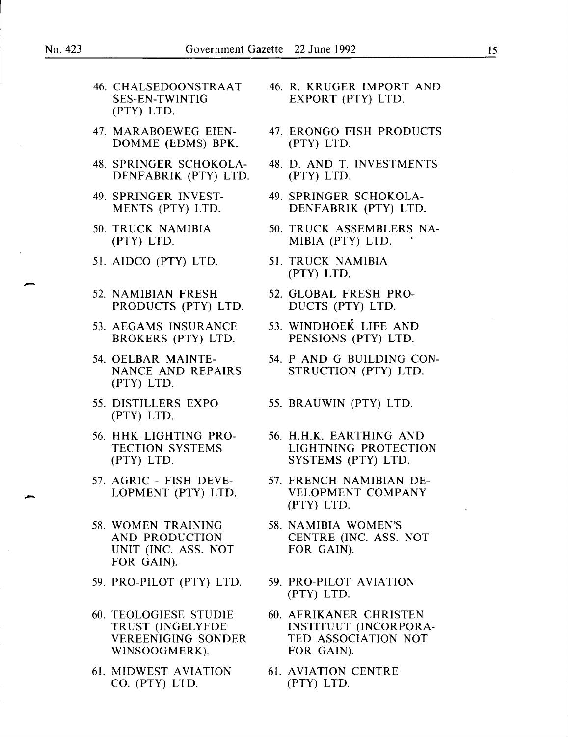- 46. CHALSEDOONSTRAAT 46. R. KRUGER IMPORT AND SES-EN-TWINTIG EXPORT (PTY) LTD. (PTY) LTD.
- DOMME (EDMS) BPK.
- DENFABRIK (PTY) LTD.
- 
- 
- 51. AIDCO (PTY) LTD. 51. TRUCK NAMIBIA
- 51. AIDCO (PTY) LTD. 51. TRUCK NAMIBIA<br>
(PTY) LTD. 52. NAMIBIAN FRESH 52. GLOBAL FRESH PRO-<br>
PRODUCTS (PTY) LTD DUCTS (PTY) LTD PRODUCTS (PTY) LTD. DUCTS (PTY) LTD.
	-
	- (PTY) LTD.
	- (PTY) LTD.
	- 56. HHK LIGHTING PRO- 56. H.H.K. EARTHING AND
	-
	- 58. WOMEN TRAINING 58. NAMIBIA WOMEN'S UNIT (INC. ASS. NOT FOR GAIN). FOR GAIN).
	- 59. PRO-PILOT (PTY) LTD. 59. PRO-PILOT AVIATION
	- 60. TEOLOGIESE STUDIE 60. AFRIKANER CHRISTEN VEREENIGING SONDER WINSOOGMERK). FOR GAIN).
	- 61. MIDWEST AVIATION 61. AVIATION CENTRE CO. (PTY) LTD. (PTY) LTD.
- 
- 47. MARABOEWEG EIEN-<br>DOMME (EDMS) BPK. (PTY) LTD.
- 48. SPRINGER SCHOKOLA- 48. D. AND T. INVESTMENTS<br>DENFABRIK (PTY) LTD. (PTY) LTD.
- 49. SPRINGER INVEST-<br>MENTS (PTY) LTD. DENFABRIK (PTY) LTD DENFABRIK (PTY) LTD.
- 50. TRUCK NAMIBIA 50. TRUCK ASSEMBLERS NA- (PTY) LTD. MIBIA (PTY) LTD.
	- (PTY) LTD.
	-
- 53. AEGAMS INSURANCE 53. WINDHOEK LIFE AND BROKERS (PTY) LTD. PENSIONS (PTY) LTD. PENSIONS (PTY) LTD.
- 54. OELBAR MAINTE- 54. P AND G BUILDING CON-NANCE AND REPAIRS STRUCTION (PTY) LTD.
- 55. DISTILLERS EXPO 55. BRAUWIN (PTY) LTD.
	- TECTION SYSTEMS LIGHTNING PROTECTION (PTY) LTD. SYSTEMS (PTY) LTD.
- 57. AGRIC FISH DEVE- 57. FRENCH NAMIBIAN DE- 57. AGRIC - FISH DEVE-<br>LOPMENT (PTY) LTD. VELOPMENT COMPANY<br>(PTY) LTD. (PTY) LTD. (PTY) LTD.
	- AND PRODUCTION CENTRE (INC. ASS. NOT
		- (PTY) LTD.
	- TRUST (INGELYFDE INSTITUUT (INCORPORA-<br>VEREENIGING SONDER TED ASSOCIATION NOT
		-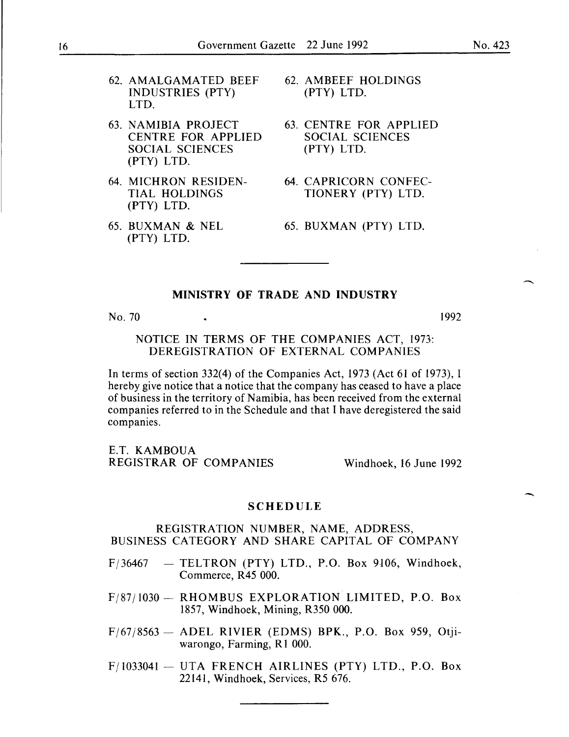- 62. AMALGAMATED BEEF INDUSTRIES (PTY) LTD.
- 63. NAMIBIA PROJECT CENTRE FOR APPLIED SOCIAL SCIENCES (PTY) LTD.
- 64. MICHRON RESIDEN-TIAL HOLDINGS (PTY) LTD.
- 65. BUXMAN & NEL (PTY) LTD.
- 62. AMBEEF HOLDINGS (PTY) LTD.
- 63. CENTRE FOR APPLIED SOCIAL SCIENCES (PTY) LTD.
- 64. CAPRICORN CONFEC-TIONERY (PTY) LTD.
- 65. BUXMAN (PTY) LTD.

### MINISTRY OF TRADE AND INDUSTRY

No. 70

1992

#### NOTICE IN TERMS OF THE COMPANIES ACT, 1973: DEREGISTRATION OF EXTERNAL COMPANIES

In terms of section 332(4) of the Companies Act, 1973 (Act 61 of 1973), I hereby give notice that a notice that the company has ceased to have a place of business in the territory of Namibia, has been received from the external companies referred to in the Schedule and that I have deregistered the said companies.

E.T. KAMBOUA REGISTRAR OF COMPANIES Windhoek, 16 June 1992

#### SCHEDULE

#### REGISTRATION NUMBER, NAME, ADDRESS, BUSINESS CATEGORY AND SHARE CAPITAL OF COMPANY

- $F/36467$  TELTRON (PTY) LTD., P.O. Box 9106, Windhoek, Commerce, R45 000.
- F/87/1030- RHOMBUS EXPLORATION LIMITED, P.O. Box 1857, Windhoek, Mining, R350 000.
- $F/67/8563$  ADEL RIVIER (EDMS) BPK., P.O. Box 959, Otjiwarongo, Farming, Rl 000.
- $F/1033041 UTA FRENCH AIRLINES (PTY) LTD., P.O. Box$ 22141, Windhoek, Services, R5 676.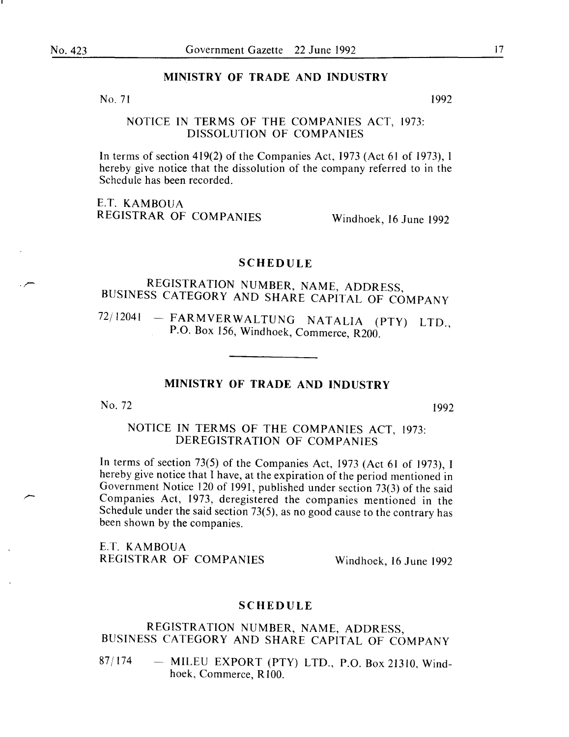#### MINISTRY OF TRADE AND INDUSTRY

 $No. 71$  1992

NOTICE IN TERMS OF THE COMPANIES ACT, 1973: DISSOLUTION OF COMPANIES

In terms of section 419(2) of the Companies Act, 1973 (Act 61 of 1973), I hereby give notice that the dissolution of the company referred to in the Schedule has been recorded.

E.T. KAMBOUA REGISTRAR OF COMPANIES Windhoek, 16 June 1992

#### SCHEDULE

# REGISTRATION NUMBER, NAME, ADDRESS, BUSINESS CATEGORY AND SHARE CAPITAL OF COMPANY

72/12041 - FARMVERWALTUNG NATALIA (PTY) LTD., P.O. Box 156, Windhoek, Commerce, R200.

### MINISTRY OF TRADE AND INDUSTRY

No. 72 1992

#### NOTICE IN TERMS OF THE COMPANIES ACT, 1973: DEREGISTRATION OF COMPANIES

In terms of section 73(5) of the Companies Act, 1973 (Act 61 of 1973), I hereby give notice that I have, at the expiration of the period mentioned in Government Notice 120 of 1991, published under section 73(3) of the said Companies Act, 1973, deregistered the companies mentioned in the Schedule under the said section 73(5), as no good cause to the contrary has been shown by the companies.

E.T. KAMBOUA REGISTRAR OF COMPANIES Windhoek, 16 June 1992

#### SCHEDULE

#### REGISTRATION NUMBER, NAME, ADDRESS, BUSINESS CATEGORY AND SHARE CAPITAL OF COMPANY

 $87/174$  - MILEU EXPORT (PTY) LTD., P.O. Box 21310, Windhoek, Commerce, R100.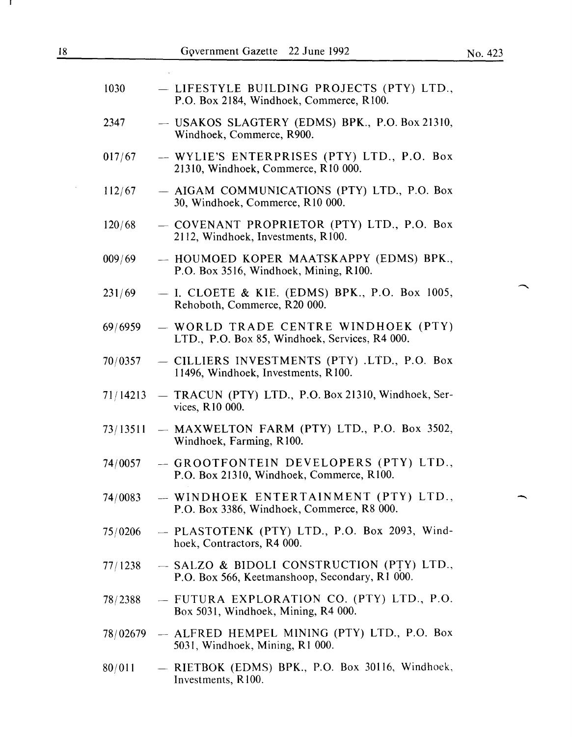$\ddot{\phantom{a}}$ 

 $\overline{\phantom{0}}$ 

 $\overline{\phantom{1}}$ 

| 1030     | - LIFESTYLE BUILDING PROJECTS (PTY) LTD.,<br>P.O. Box 2184, Windhoek, Commerce, R100.       |
|----------|---------------------------------------------------------------------------------------------|
| 2347     | - USAKOS SLAGTERY (EDMS) BPK., P.O. Box 21310,<br>Windhoek, Commerce, R900.                 |
| 017/67   | - WYLIE'S ENTERPRISES (PTY) LTD., P.O. Box<br>21310, Windhoek, Commerce, R10 000.           |
| 112/67   | - AIGAM COMMUNICATIONS (PTY) LTD., P.O. Box<br>30, Windhoek, Commerce, R10 000.             |
| 120/68   | - COVENANT PROPRIETOR (PTY) LTD., P.O. Box<br>2112, Windhoek, Investments, R100.            |
| 009/69   | - HOUMOED KOPER MAATSKAPPY (EDMS) BPK.,<br>P.O. Box 3516, Windhoek, Mining, R100.           |
| 231/69   | $-$ I. CLOETE & KIE. (EDMS) BPK., P.O. Box 1005,<br>Rehoboth, Commerce, R20 000.            |
| 69/6959  | - WORLD TRADE CENTRE WINDHOEK (PTY)<br>LTD., P.O. Box 85, Windhoek, Services, R4 000.       |
| 70/0357  | - CILLIERS INVESTMENTS (PTY) .LTD., P.O. Box<br>11496, Windhoek, Investments, R100.         |
| 71/14213 | - TRACUN (PTY) LTD., P.O. Box 21310, Windhoek, Ser-<br>vices, R10 000.                      |
| 73/13511 | - MAXWELTON FARM (PTY) LTD., P.O. Box 3502,<br>Windhoek, Farming, R100.                     |
| 74/0057  | - GROOTFONTEIN DEVELOPERS (PTY) LTD.,<br>P.O. Box 21310, Windhoek, Commerce, R100.          |
| 74/0083  | - WINDHOEK ENTERTAINMENT (PTY) LTD.,<br>P.O. Box 3386, Windhoek, Commerce, R8 000.          |
| 75/0206  | - PLASTOTENK (PTY) LTD., P.O. Box 2093, Wind-<br>hoek, Contractors, R4 000.                 |
| 77/1238  | - SALZO & BIDOLI CONSTRUCTION (PTY) LTD.,<br>P.O. Box 566, Keetmanshoop, Secondary, R1 000. |
| 78/2388  | - FUTURA EXPLORATION CO. (PTY) LTD., P.O.<br>Box 5031, Windhoek, Mining, R4 000.            |
| 78/02679 | - ALFRED HEMPEL MINING (PTY) LTD., P.O. Box<br>5031, Windhoek, Mining, R1 000.              |
| 80/011   | - RIETBOK (EDMS) BPK., P.O. Box 30116, Windhoek,<br>Investments, R100.                      |

 $\bar{z}$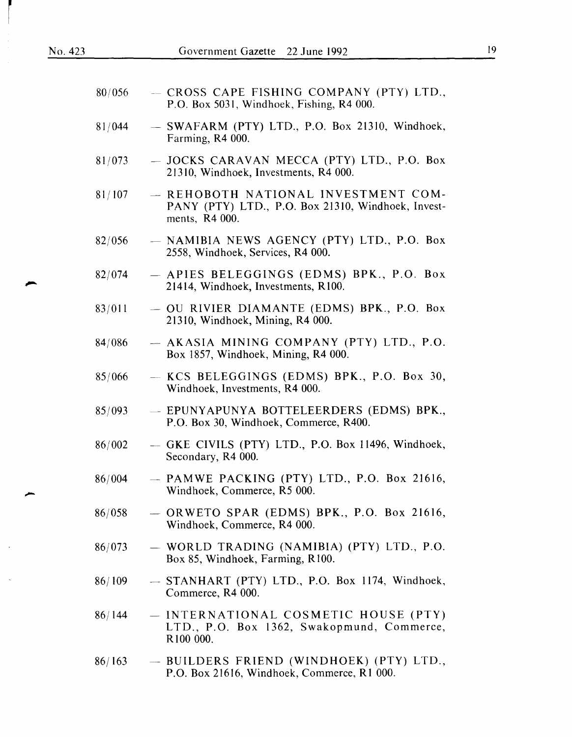$\overline{\phantom{a}}$ 

 $\bar{\mathcal{A}}$ 

| 80/056 | - CROSS CAPE FISHING COMPANY (PTY) LTD.,<br>P.O. Box 5031, Windhoek, Fishing, R4 000.                       |
|--------|-------------------------------------------------------------------------------------------------------------|
| 81/044 | - SWAFARM (PTY) LTD., P.O. Box 21310, Windhoek,<br>Farming, R4 000.                                         |
| 81/073 | - JOCKS CARAVAN MECCA (PTY) LTD., P.O. Box<br>21310, Windhoek, Investments, R4 000.                         |
| 81/107 | - REHOBOTH NATIONAL INVESTMENT COM-<br>PANY (PTY) LTD., P.O. Box 21310, Windhoek, Invest-<br>ments, R4 000. |
| 82/056 | - NAMIBIA NEWS AGENCY (PTY) LTD., P.O. Box<br>2558, Windhoek, Services, R4 000.                             |
| 82/074 | - APIES BELEGGINGS (EDMS) BPK., P.O. Box<br>21414, Windhoek, Investments, R100.                             |
| 83/011 | - OU RIVIER DIAMANTE (EDMS) BPK., P.O. Box<br>21310, Windhoek, Mining, R4 000.                              |
| 84/086 | - AKASIA MINING COMPANY (PTY) LTD., P.O.<br>Box 1857, Windhoek, Mining, R4 000.                             |
| 85/066 | - KCS BELEGGINGS (EDMS) BPK., P.O. Box 30,<br>Windhoek, Investments, R4 000.                                |
| 85/093 | - EPUNYAPUNYA BOTTELEERDERS (EDMS) BPK.,<br>P.O. Box 30, Windhoek, Commerce, R400.                          |
| 86/002 | - GKE CIVILS (PTY) LTD., P.O. Box 11496, Windhoek,<br>Secondary, R4 000.                                    |
| 86/004 | $-$ PAMWE PACKING (PTY) LTD., P.O. Box 21616,<br>Windhoek, Commerce, R5 000.                                |
| 86/058 | $-$ ORWETO SPAR (EDMS) BPK., P.O. Box 21616,<br>Windhoek, Commerce, R4 000.                                 |
| 86/073 | - WORLD TRADING (NAMIBIA) (PTY) LTD., P.O.<br>Box 85, Windhoek, Farming, R100.                              |
| 86/109 | - STANHART (PTY) LTD., P.O. Box 1174, Windhoek,<br>Commerce, R4 000.                                        |
| 86/144 | - INTERNATIONAL COSMETIC HOUSE (PTY)<br>LTD., P.O. Box 1362, Swakopmund, Commerce,<br>R100 000.             |
| 86/163 | - BUILDERS FRIEND (WINDHOEK) (PTY) LTD.,<br>P.O. Box 21616, Windhoek, Commerce, R1 000.                     |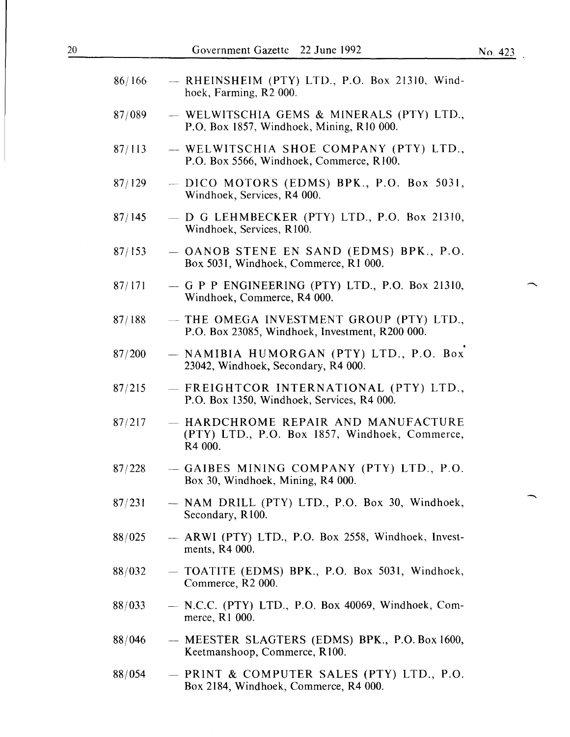| 86/166 | - RHEINSHEIM (PTY) LTD., P.O. Box 21310, Wind-<br>hoek, Farming, R2 000.                         |
|--------|--------------------------------------------------------------------------------------------------|
| 87/089 | - WELWITSCHIA GEMS & MINERALS (PTY) LTD.,<br>P.O. Box 1857, Windhoek, Mining, R10 000.           |
| 87/113 | - WELWITSCHIA SHOE COMPANY (PTY) LTD.,<br>P.O. Box 5566, Windhoek, Commerce, R100.               |
| 87/129 | - DICO MOTORS (EDMS) BPK., P.O. Box 5031,<br>Windhoek, Services, R4 000.                         |
| 87/145 | $-$ D G LEHMBECKER (PTY) LTD., P.O. Box 21310,<br>Windhoek, Services, R100.                      |
| 87/153 | - OANOB STENE EN SAND (EDMS) BPK., P.O.<br>Box 5031, Windhoek, Commerce, R1 000.                 |
| 87/171 | $-$ G P P ENGINEERING (PTY) LTD., P.O. Box 21310,<br>Windhoek, Commerce, R4 000.                 |
| 87/188 | - THE OMEGA INVESTMENT GROUP (PTY) LTD.,<br>P.O. Box 23085, Windhoek, Investment, R200 000.      |
| 87/200 | - NAMIBIA HUMORGAN (PTY) LTD., P.O. Box<br>23042, Windhoek, Secondary, R4 000.                   |
| 87/215 | - FREIGHTCOR INTERNATIONAL (PTY) LTD.,<br>P.O. Box 1350, Windhoek, Services, R4 000.             |
| 87/217 | - HARDCHROME REPAIR AND MANUFACTURE<br>(PTY) LTD., P.O. Box 1857, Windhoek, Commerce,<br>R4 000. |
| 87/228 | - GAIBES MINING COMPANY (PTY) LTD., P.O.<br>Box 30, Windhoek, Mining, R4 000.                    |
| 87/231 | - NAM DRILL (PTY) LTD., P.O. Box 30, Windhoek,<br>Secondary, R100.                               |
| 88/025 | - ARWI (PTY) LTD., P.O. Box 2558, Windhoek, Invest-<br>ments, R4 000.                            |
| 88/032 | - TOATITE (EDMS) BPK., P.O. Box 5031, Windhoek,<br>Commerce, R2 000.                             |
| 88/033 | $-$ N.C.C. (PTY) LTD., P.O. Box 40069, Windhoek, Com-<br>merce, R1 000.                          |
| 88/046 | - MEESTER SLAGTERS (EDMS) BPK., P.O. Box 1600,<br>Keetmanshoop, Commerce, R100.                  |
| 88/054 | - PRINT & COMPUTER SALES (PTY) LTD., P.O.                                                        |

Box 2184, Windhoek, Commerce, R4 000.